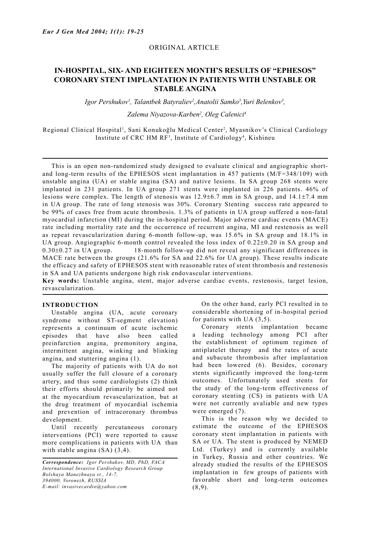## ORIGINAL ARTICLE

# **IN-HOSPITAL, SIX- AND EIGHTEEN MONTH'S RESULTS OF "EPHESOS" CORONARY STENT IMPLANTATION IN PATIENTS WITH UNSTABLE OR STABLE ANGINA**

Igor Pershukov<sup>1</sup>, Talantbek Batyraliev<sup>2</sup>, Anatolii Samko<sup>3</sup>, Yuri Belenkov<sup>3</sup>,

## *Zalema Niyazova-Karben2 , Oleg Calenici4*

Regional Clinical Hospital<sup>1</sup>, Sani Konukoğlu Medical Center<sup>2</sup>, Myasnikov's Clinical Cardiology Institute of CRC HM RF<sup>3</sup>, Institute of Cardiology<sup>4</sup>, Kishineu

 This is an open non-randomized study designed to evaluate clinical and angiographic shortand long-term results of the EPHESOS stent implantation in 457 patients (M/F=348/109) with unstable angina (UA) or stable angina (SA) and native lesions. In SA group 268 stents were implanted in 231 patients. In UA group 271 stents were implanted in 226 patients. 46% of lesions were complex. The length of stenosis was 12.9±6.7 mm in SA group, and 14.1±7.4 mm in UA group. The rate of long stenosis was 30%. Coronary Stenting success rate appeared to be 99% of cases free from acute thrombosis. 1.3% of patients in UA group suffered a non-fatal myocardial infarction (MI) during the in-hospital period. Major adverse cardiac events (MACE) rate including mortality rate and the occurrence of recurrent angina, MI and restenosis as well as repeat revascularization during 6-month follow-up, was 15.6% in SA group and 18.1% in UA group. Angiographic 6-month control revealed the loss index of  $0.22\pm0.20$  in SA group and  $0.30\pm0.27$  in UA group. 18-month follow-up did not reveal any significant differences in MACE rate between the groups (21.6% for SA and 22.6% for UA group). These results indicate the efficacy and safety of EPHESOS stent with reasonable rates of stent thrombosis and restenosis in SA and UA patients undergone high risk endovascular interventions.

**Key words:** Unstable angina, stent, major adverse cardiac events, restenosis, target lesion, revascularization.

#### **INTRODUCTION**

 Unstable angina (UA, acute coronary syndrome without ST-segment elevation) represents a continuum of acute ischemic episodes that have also been called preinfarction angina, premonitory angina, intermittent angina, winking and blinking angina, and stuttering angina (1).

 The majority of patients with UA do not usually suffer the full closure of a coronary artery, and thus some cardiologists (2) think their efforts should primarily be aimed not at the myocardium revascularization, but at the drug treatment of myocardial ischemia and prevention of intracoronary thrombus development.

 Until recently percutaneous coronary interventions (PCI) were reported to cause more complications in patients with UA than with stable angina (SA)  $(3,4)$ .

 On the other hand, early PCI resulted in to considerable shortening of in-hospital period for patients with UA (3,5).

 Coronary stents implantation became a leading technology among PCI after the establishment of optimum regimen of antiplatelet therapy and the rates of acute and subacute thrombosis after implantation had been lowered (6). Besides, coronary stents significantly improved the long-term outcomes. Unfortunately used stents for the study of the long-term effectiveness of coronary stenting (CS) in patients with UA were not currently avaliable and new types were emerged (7).

 This is the reason why we decided to estimate the outcome of the EPHESOS coronary stent implantation in patients with SA or UA. The stent is produced by NEMED Ltd. (Turkey) and is currently available in Turkey, Russia and other countries. We already studied the results of the EPHESOS implantation in few groups of patients with favorable short and long-term outcomes (8,9).

*Correspondence: Igor Pershukov, MD, PhD, FACA International Invasive Cardiology Research Group Bolshaya Manezhnaya st., 14-7, 394000, Voronezh, RUSSIA E-mail: invasivecardio@yahoo.com*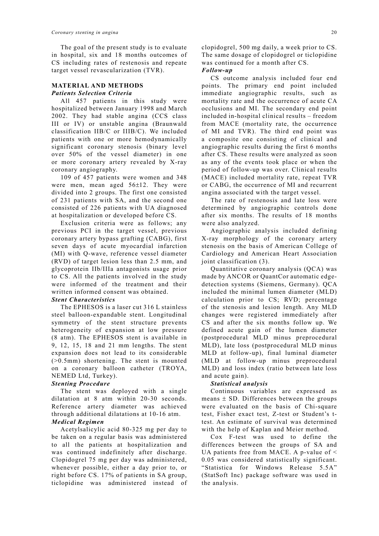The goal of the present study is to evaluate in hospital, six and 18 months outcomes of CS including rates of restenosis and repeate target vessel revascularization (TVR).

# **MATERIAL AND METHODS** *Patients Selection Criteria*

 All 457 patients in this study were hospitalized between January 1998 and March 2002. They had stable angina (CCS class III or IV) or unstable angina (Braunwald classification IIB/C or IIIB/C). We included patients with one or more hemodynamically significant coronary stenosis (binary level over 50% of the vessel diameter) in one or more coronary artery revealed by X-ray coronary angiography.

 109 of 457 patients were women and 348 were men, mean aged  $56\pm12$ . They were divided into 2 groups. The first one consisted of 231 patients with SA, and the second one consisted of 226 patients with UA diagnosed at hospitalization or developed before CS.

 Exclusion criteria were as follows; any previous PCI in the target vessel, previous coronary artery bypass grafting (CABG), first seven days of acute myocardial infarction (MI) with Q-wave, reference vessel diameter (RVD) of target lesion less than 2.5 mm, and glycoprotein IIb/IIIa antagonists usage prior to CS. All the patients involved in the study were informed of the treatment and their written informed consent was obtained.

## *Stent Characteristics*

 The EPHESOS is a laser cut 316 L stainless steel balloon-expandable stent. Longitudinal symmetry of the stent structure prevents heterogeneity of expansion at low pressure (8 atm). The EPHESOS stent is available in 9, 12, 15, 18 and 21 mm lengths. The stent expansion does not lead to its considerable (>0.5mm) shortening. The stent is mounted on a coronary balloon catheter (TROYA, NEMED Ltd, Turkey).

## *Stenting Procedure*

 The stent was deployed with a single dilatation at 8 atm within 20-30 seconds. Reference artery diameter was achieved through additional dilatations at 10-16 atm.

# *Medical Regimen*

 Acetylsalicylic acid 80-325 mg per day to be taken on a regular basis was administered to all the patients at hospitalization and was continued indefinitely after discharge. Clopidogrel 75 mg per day was administered, whenever possible, either a day prior to, or right before CS. 17% of patients in SA group, ticlopidine was administered instead of clopidogrel, 500 mg daily, a week prior to CS. The same dosage of clopidogrel or ticlopidine was continued for a month after CS.

#### *Follow-up*

 CS outcome analysis included four end points. The primary end point included immediate angiographic results, such as mortality rate and the occurrence of acute CA occlusions and MI. The secondary end point included in-hospital clinical results – freedom from MACE (mortality rate, the occurrence of MI and TVR). The third end point was a composite one consisting of clinical and angiographic results during the first 6 months after CS. These results were analyzed as soon as any of the events took place or when the period of follow-up was over. Clinical results (MACE) included mortality rate, repeat TVR or CABG, the occurrence of MI and recurrent angina associated with the target vessel.

 The rate of restenosis and late loss were determined by angiographic controls done after six months. The results of 18 months were also analyzed.

 Angiographic analysis included defining X-ray morphology of the coronary artery stenosis on the basis of American College of Cardiology and American Heart Association joint classification (3).

 Quantitative coronary analysis (QCA) was made by ANCOR or QuantCor automatic edgedetection systems (Siemens, Germany). QCA included the minimal lumen diameter (MLD) calculation prior to CS; RVD; percentage of the stenosis and lesion length. Any MLD changes were registered immediately after CS and after the six months follow up. We defined acute gain of the lumen diameter (postprocedural MLD minus preprocedural MLD), late loss (postprocedural MLD minus MLD at follow-up), final luminal diameter (MLD at follow-up minus preprocedural MLD) and loss index (ratio between late loss and acute gain).

## *Statistical analysis*

 Continuous variables are expressed as means  $\pm$  SD. Differences between the groups were evaluated on the basis of Chi-square test, Fisher exact test, Z-test or Student's ttest. An estimate of survival was determined with the help of Kaplan and Meier method.

 Cox F-test was used to define the differences between the groups of SA and UA patients free from MACE. A p-value of < 0.05 was considered statistically significant. "Statistica for Windows Release 5.5A" (StatSoft Inc) package software was used in the analysis.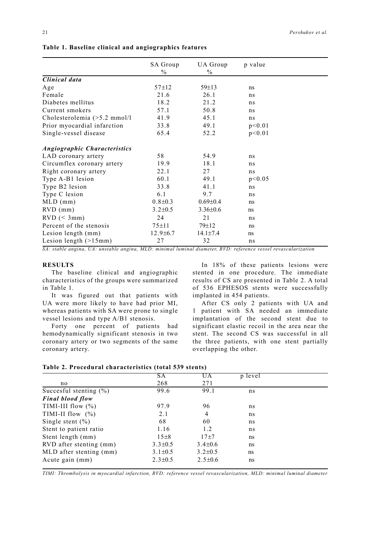|                                     | <b>SA Group</b> | UA Group       | p value  |
|-------------------------------------|-----------------|----------------|----------|
|                                     | $\frac{0}{0}$   | $\frac{0}{0}$  |          |
| Clinical data                       |                 |                |          |
| Age                                 | $57 + 12$       | $59 \pm 13$    | ns       |
| Female                              | 21.6            | 26.1           | ns       |
| Diabetes mellitus                   | 18.2            | 21.2           | ns       |
| Current smokers                     | 57.1            | 50.8           | ns       |
| Cholesterolemia $($ >5.2 mmol/l     | 41.9            | 45.1           | ns       |
| Prior myocardial infarction         | 33.8            | 49.1           | p<0.01   |
| Single-vessel disease               | 65.4            | 52.2           | p<0.01   |
| <b>Angiographic Characteristics</b> |                 |                |          |
| LAD coronary artery                 | 58              | 54.9           | ns       |
| Circumflex coronary artery          | 19.9            | 18.1           | ns       |
| Right coronary artery               | 22.1            | 27             | ns       |
| Type A-B1 lesion                    | 60.1            | 49.1           | p < 0.05 |
| Type B2 lesion                      | 33.8            | 41.1           | ns       |
| Type C lesion                       | 6.1             | 9.7            | ns       |
| $MLD$ (mm)                          | $0.8 \pm 0.3$   | $0.69 \pm 0.4$ | ns       |
| $RVD$ (mm)                          | $3.2 \pm 0.5$   | $3.36 \pm 0.6$ | ns       |
| $RVD \leq 3mm$                      | 24              | 21             | ns       |
| Percent of the stenosis             | $75 + 11$       | $79 \pm 12$    | ns       |
| Lesion length (mm)                  | $12.9 \pm 6.7$  | $14.1 \pm 7.4$ | ns       |
| Lesion length $(>15$ mm)            | 27              | 32             | ns       |

## **Table 1. Baseline clinical and angiographics features**

*SA: stable angina, UA: unstable angina, MLD: minimal luminal diameter, RVD: reference vessel revascularization*

## **RESULTS**

 The baseline clinical and angiographic characteristics of the groups were summarized in Table 1.

 It was figured out that patients with UA were more likely to have had prior MI, whereas patients with SA were prone to single vessel lesions and type A/B1 stenosis.

 Forty one percent of patients had hemodynamically significant stenosis in two coronary artery or two segments of the same coronary artery.

 In 18% of these patients lesions were stented in one procedure. The immediate results of CS are presented in Table 2. A total of 536 EPHESOS stents were successfully implanted in 454 patients.

 After CS only 2 patients with UA and 1 patient with SA needed an immediate implantation of the second stent due to significant elastic recoil in the area near the stent. The second CS was successful in all the three patients, with one stent partially overlapping the other.

| Table 2. Procedural characteristics (total 539 stents) |  |
|--------------------------------------------------------|--|
|--------------------------------------------------------|--|

|                            | SА            | UA             | p level |  |
|----------------------------|---------------|----------------|---------|--|
| no                         | 268           | 271            |         |  |
| Succesful stenting $(\% )$ | 99.6          | 99.1           | ns      |  |
| <b>Final blood flow</b>    |               |                |         |  |
| TIMI-III flow $(\% )$      | 97.9          | 96             | ns      |  |
| TIMI-II flow $(\% )$       | 2.1           | $\overline{4}$ | ns      |  |
| Single stent $(\% )$       | 68            | 60             | ns      |  |
| Stent to patient ratio     | 1.16          | 1.2            | ns      |  |
| Stent length (mm)          | $15\pm8$      | $17 + 7$       | ns      |  |
| RVD after stenting (mm)    | $3.3 \pm 0.5$ | $3.4 \pm 0.6$  | ns      |  |
| MLD after stenting (mm)    | $3.1 \pm 0.5$ | $3.2 \pm 0.5$  | ns      |  |
| Acute gain (mm)            | $2.3 \pm 0.5$ | $2.5 \pm 0.6$  | ns      |  |
|                            |               |                |         |  |

*TIMI: Thrombolysis in myocardial infarction, RVD: reference vessel revascularization, MLD: minimal luminal diameter*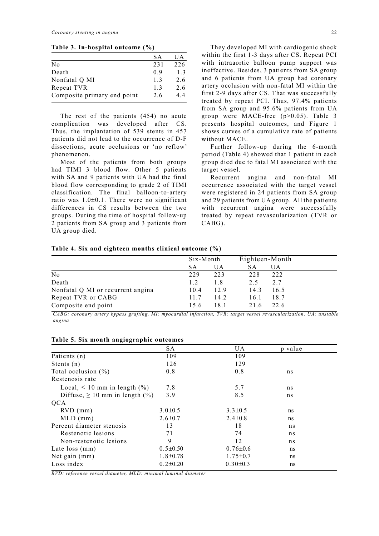**Table 3. In-hospital outcome (%)**

|                             | SА             | UA             |
|-----------------------------|----------------|----------------|
| No                          | 231            | 226            |
| Death                       | 09             | 1 <sup>3</sup> |
| Nonfatal Q MI               | 1 <sup>3</sup> | 26             |
| Repeat TVR                  | 1 <sup>3</sup> | 26             |
| Composite primary end point | 26             | 44             |

 The rest of the patients (454) no acute complication was developed after CS. Thus, the implantation of 539 stents in 457 patients did not lead to the occurrence of D-F dissections, acute occlusions or 'no reflow' phenomenon.

 Most of the patients from both groups had TIMI 3 blood flow. Other 5 patients with SA and 9 patients with UA had the final blood flow corresponding to grade 2 of TIMI classification. The final balloon-to-artery ratio was 1.0±0.1. There were no significant differences in CS results between the two groups. During the time of hospital follow-up 2 patients from SA group and 3 patients from UA group died.

 They developed MI with cardiogenic shock within the first 1-3 days after CS. Repeat PCI with intraaortic balloon pump support was ineffective. Besides, 3 patients from SA group and 6 patients from UA group had coronary artery occlusion with non-fatal MI within the first 2-9 days after CS. That was successfully treated by repeat PCI. Thus, 97.4% patients from SA group and 95.6% patients from UA group were MACE-free (p>0.05). Table 3 presents hospital outcomes, and Figure 1 shows curves of a cumulative rate of patients without MACE.

 Further follow-up during the 6-month period (Table 4) showed that 1 patient in each group died due to fatal MI associated with the target vessel.

 Recurrent angina and non-fatal MI occurrence associated with the target vessel were registered in 24 patients from SA group and 29 patients from UA group. All the patients with recurrent angina were successfully treated by repeat revascularization (TVR or CABG).

#### **Table 4. Six and eighteen months clinical outcome (%)**

| Six-Month |      | Eighteen-Month |      |
|-----------|------|----------------|------|
| <b>SA</b> | UA   | SА             | UA   |
| 229       | 223  | 228            | 222  |
| 1.2       | 1.8  | 2.5            | 2.7  |
| 10.4      | 12.9 | 14.3           | 16.5 |
| 11.7      | 14.2 | 16.1           | 18.7 |
| 15.6      | 18.1 | 21.6           | 22.6 |
|           |      |                |      |

*CABG: coronary artery bypass grafting, MI: myocardial infarction, TVR: target vessel revascularization, UA: unstable angina*

| o.<br>$\circ$                           |                |                |         |  |
|-----------------------------------------|----------------|----------------|---------|--|
|                                         | SA             | UA.            | p value |  |
| Patients (n)                            | 109            | 109            |         |  |
| Stents $(n)$                            | 126            | 129            |         |  |
| Total occlusion $(\% )$                 | 0.8            | 0.8            | ns      |  |
| Restenosis rate                         |                |                |         |  |
| Local, $\leq 10$ mm in length $(\% )$   | 7.8            | 5.7            | ns      |  |
| Diffuse, $\geq 10$ mm in length $(\% )$ | 3.9            | 8.5            | ns      |  |
| <b>OCA</b>                              |                |                |         |  |
| $RVD$ (mm)                              | $3.0 \pm 0.5$  | $3.3 \pm 0.5$  | ns      |  |
| $MLD$ (mm)                              | $2.6 \pm 0.7$  | $2.4 \pm 0.8$  | ns      |  |
| Percent diameter stenosis               | 13             | 18             | ns      |  |
| Restenotic lesions                      | 71             | 74             | ns      |  |
| Non-restenotic lesions                  | 9              | 12             | ns      |  |
| Late loss (mm)                          | $0.5 \pm 0.50$ | $0.76 \pm 0.6$ | ns      |  |
| Net gain (mm)                           | $1.8 \pm 0.78$ | $1.75 \pm 0.7$ | ns      |  |
| Loss index                              | $0.2 \pm 0.20$ | $0.30 \pm 0.3$ | ns      |  |

**Table 5. Six month angiographic outcomes** 

*RVD: reference vessel diameter, MLD: minimal luminal diameter*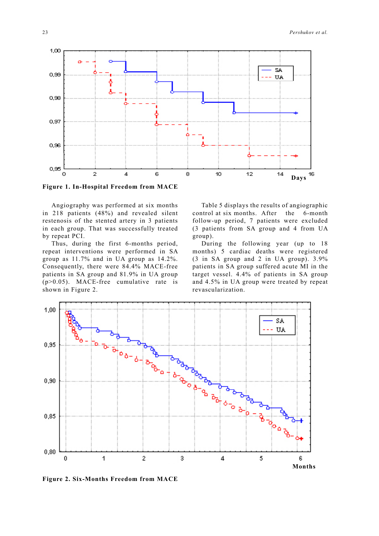

**Figure 1. In-Hospital Freedom from MACE**

 Angiography was performed at six months in 218 patients (48%) and revealed silent restenosis of the stented artery in 3 patients in each group. That was successfully treated by repeat PCI.

 Thus, during the first 6-months period, repeat interventions were performed in SA group as 11.7% and in UA group as 14.2%. Consequently, there were 84.4% MACE-free patients in SA group and 81.9% in UA group (p>0.05). MACE-free cumulative rate is shown in Figure 2.

 Table 5 displays the results of angiographic control at six months. After the 6-month follow-up period, 7 patients were excluded (3 patients from SA group and 4 from UA group).

 During the following year (up to 18 months) 5 cardiac deaths were registered (3 in SA group and 2 in UA group). 3.9% patients in SA group suffered acute MI in the target vessel. 4.4% of patients in SA group and 4.5% in UA group were treated by repeat revascularization.



**Figure 2. Six-Months Freedom from MACE**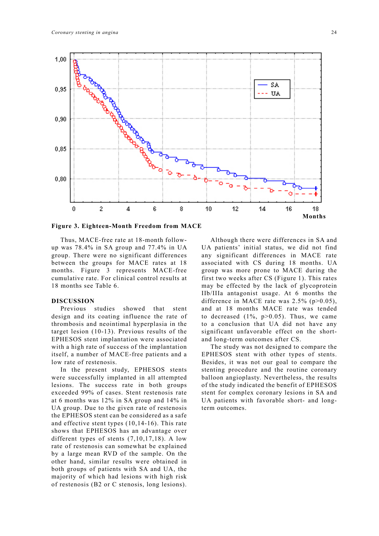

**Figure 3. Eighteen-Month Freedom from MACE**

 Thus, MACE-free rate at 18-month followup was 78.4% in SA group and 77.4% in UA group. There were no significant differences between the groups for MACE rates at 18 months. Figure 3 represents MACE-free cumulative rate. For clinical control results at 18 months see Table 6.

## **DISCUSSION**

 Previous studies showed that stent design and its coating influence the rate of thrombosis and neointimal hyperplasia in the target lesion (10-13). Previous results of the EPHESOS stent implantation were associated with a high rate of success of the implantation itself, a number of MACE-free patients and a low rate of restenosis.

 In the present study, EPHESOS stents were successfully implanted in all attempted lesions. The success rate in both groups exceeded 99% of cases. Stent restenosis rate at 6 months was 12% in SA group and 14% in UA group. Due to the given rate of restenosis the EPHESOS stent can be considered as a safe and effective stent types (10,14-16). This rate shows that EPHESOS has an advantage over different types of stents (7,10,17,18). A low rate of restenosis can somewhat be explained by a large mean RVD of the sample. On the other hand, similar results were obtained in both groups of patients with SA and UA, the majority of which had lesions with high risk of restenosis (B2 or C stenosis, long lesions).

 Although there were differences in SA and UA patients' initial status, we did not find any significant differences in MACE rate associated with CS during 18 months. UA group was more prone to MACE during the first two weeks after CS (Figure 1). This rates may be effected by the lack of glycoprotein IIb/IIIa antagonist usage. At 6 months the difference in MACE rate was  $2.5\%$  (p $>0.05$ ), and at 18 months MACE rate was tended to decreased  $(1\%, p>0.05)$ . Thus, we came to a conclusion that UA did not have any significant unfavorable effect on the shortand long-term outcomes after CS.

 The study was not designed to compare the EPHESOS stent with other types of stents. Besides, it was not our goal to compare the stenting procedure and the routine coronary balloon angioplasty. Nevertheless, the results of the study indicated the benefit of EPHESOS stent for complex coronary lesions in SA and UA patients with favorable short- and longterm outcomes.